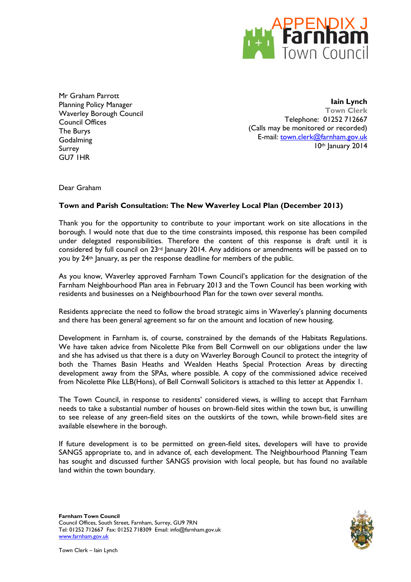

Mr Graham Parrott Planning Policy Manager Waverley Borough Council Council Offices The Burys **Godalming** Surrey GU7 1HR

**Iain Lynch Town Clerk** Telephone: 01252 712667 (Calls may be monitored or recorded) E-mail: [town.clerk@farnham.gov.uk](mailto:town.clerk@farnham.gov.uk) 10th January 2014

Dear Graham

### **Town and Parish Consultation: The New Waverley Local Plan (December 2013)**

Thank you for the opportunity to contribute to your important work on site allocations in the borough. I would note that due to the time constraints imposed, this response has been compiled under delegated responsibilities. Therefore the content of this response is draft until it is considered by full council on 23rd January 2014. Any additions or amendments will be passed on to you by 24th January, as per the response deadline for members of the public.

As you know, Waverley approved Farnham Town Council's application for the designation of the Farnham Neighbourhood Plan area in February 2013 and the Town Council has been working with residents and businesses on a Neighbourhood Plan for the town over several months.

Residents appreciate the need to follow the broad strategic aims in Waverley's planning documents and there has been general agreement so far on the amount and location of new housing.

Development in Farnham is, of course, constrained by the demands of the Habitats Regulations. We have taken advice from Nicolette Pike from Bell Cornwell on our obligations under the law and she has advised us that there is a duty on Waverley Borough Council to protect the integrity of both the Thames Basin Heaths and Wealden Heaths Special Protection Areas by directing development away from the SPAs, where possible. A copy of the commissioned advice received from Nicolette Pike LLB(Hons), of Bell Cornwall Solicitors is attached to this letter at Appendix 1.

The Town Council, in response to residents' considered views, is willing to accept that Farnham needs to take a substantial number of houses on brown-field sites within the town but, is unwilling to see release of any green-field sites on the outskirts of the town, while brown-field sites are available elsewhere in the borough.

If future development is to be permitted on green-field sites, developers will have to provide SANGS appropriate to, and in advance of, each development. The Neighbourhood Planning Team has sought and discussed further SANGS provision with local people, but has found no available land within the town boundary.

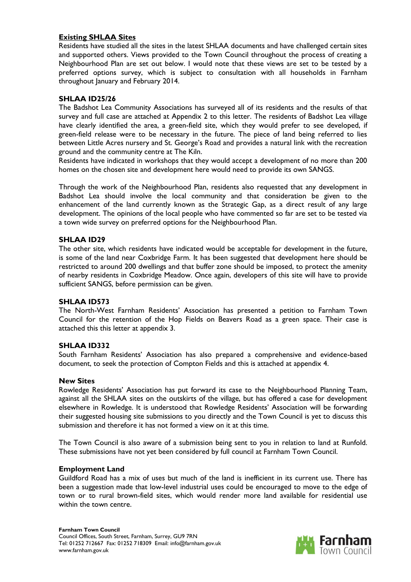# **Existing SHLAA Sites**

Residents have studied all the sites in the latest SHLAA documents and have challenged certain sites and supported others. Views provided to the Town Council throughout the process of creating a Neighbourhood Plan are set out below. I would note that these views are set to be tested by a preferred options survey, which is subject to consultation with all households in Farnham throughout January and February 2014.

# **SHLAA ID25/26**

The Badshot Lea Community Associations has surveyed all of its residents and the results of that survey and full case are attached at Appendix 2 to this letter. The residents of Badshot Lea village have clearly identified the area, a green-field site, which they would prefer to see developed, if green-field release were to be necessary in the future. The piece of land being referred to lies between Little Acres nursery and St. George's Road and provides a natural link with the recreation ground and the community centre at The Kiln.

Residents have indicated in workshops that they would accept a development of no more than 200 homes on the chosen site and development here would need to provide its own SANGS.

Through the work of the Neighbourhood Plan, residents also requested that any development in Badshot Lea should involve the local community and that consideration be given to the enhancement of the land currently known as the Strategic Gap, as a direct result of any large development. The opinions of the local people who have commented so far are set to be tested via a town wide survey on preferred options for the Neighbourhood Plan.

### **SHLAA ID29**

The other site, which residents have indicated would be acceptable for development in the future, is some of the land near Coxbridge Farm. It has been suggested that development here should be restricted to around 200 dwellings and that buffer zone should be imposed, to protect the amenity of nearby residents in Coxbridge Meadow. Once again, developers of this site will have to provide sufficient SANGS, before permission can be given.

#### **SHLAA ID573**

The North-West Farnham Residents' Association has presented a petition to Farnham Town Council for the retention of the Hop Fields on Beavers Road as a green space. Their case is attached this this letter at appendix 3.

#### **SHLAA ID332**

South Farnham Residents' Association has also prepared a comprehensive and evidence-based document, to seek the protection of Compton Fields and this is attached at appendix 4.

#### **New Sites**

Rowledge Residents' Association has put forward its case to the Neighbourhood Planning Team, against all the SHLAA sites on the outskirts of the village, but has offered a case for development elsewhere in Rowledge. It is understood that Rowledge Residents' Association will be forwarding their suggested housing site submissions to you directly and the Town Council is yet to discuss this submission and therefore it has not formed a view on it at this time.

The Town Council is also aware of a submission being sent to you in relation to land at Runfold. These submissions have not yet been considered by full council at Farnham Town Council.

#### **Employment Land**

Guildford Road has a mix of uses but much of the land is inefficient in its current use. There has been a suggestion made that low-level industrial uses could be encouraged to move to the edge of town or to rural brown-field sites, which would render more land available for residential use within the town centre.